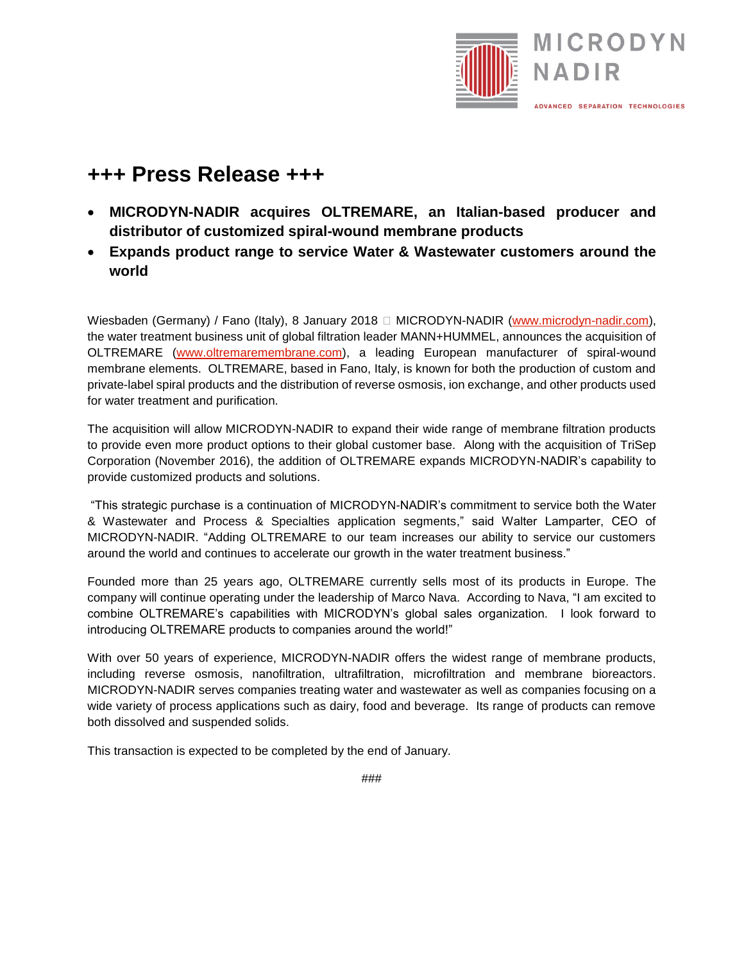

## **+++ Press Release +++**

- **MICRODYN-NADIR acquires OLTREMARE, an Italian-based producer and distributor of customized spiral-wound membrane products**
- **Expands product range to service Water & Wastewater customers around the world**

Wiesbaden (Germany) / Fano (Italy), 8 January 2018 □ MICRODYN-NADIR [\(www.microdyn-nadir.com\)](file:///C:/Users/jong-896/AppData/Local/Microsoft/Windows/INetCache/Content.Outlook/RLLIG3N4/www.microdyn-nadir.com), the water treatment business unit of global filtration leader MANN+HUMMEL, announces the acquisition of OLTREMARE [\(www.oltremaremembrane.com\)](file:///C:/Users/jong-896/AppData/Local/Microsoft/Windows/INetCache/Content.Outlook/RLLIG3N4/www.oltremaremembrane.com), a leading European manufacturer of spiral-wound membrane elements. OLTREMARE, based in Fano, Italy, is known for both the production of custom and private-label spiral products and the distribution of reverse osmosis, ion exchange, and other products used for water treatment and purification.

The acquisition will allow MICRODYN-NADIR to expand their wide range of membrane filtration products to provide even more product options to their global customer base. Along with the acquisition of TriSep Corporation (November 2016), the addition of OLTREMARE expands MICRODYN-NADIR's capability to provide customized products and solutions.

"This strategic purchase is a continuation of MICRODYN-NADIR's commitment to service both the Water & Wastewater and Process & Specialties application segments," said Walter Lamparter, CEO of MICRODYN-NADIR. "Adding OLTREMARE to our team increases our ability to service our customers around the world and continues to accelerate our growth in the water treatment business."

Founded more than 25 years ago, OLTREMARE currently sells most of its products in Europe. The company will continue operating under the leadership of Marco Nava. According to Nava, "I am excited to combine OLTREMARE's capabilities with MICRODYN's global sales organization. I look forward to introducing OLTREMARE products to companies around the world!"

With over 50 years of experience, MICRODYN-NADIR offers the widest range of membrane products, including reverse osmosis, nanofiltration, ultrafiltration, microfiltration and membrane bioreactors. MICRODYN-NADIR serves companies treating water and wastewater as well as companies focusing on a wide variety of process applications such as dairy, food and beverage. Its range of products can remove both dissolved and suspended solids.

This transaction is expected to be completed by the end of January.